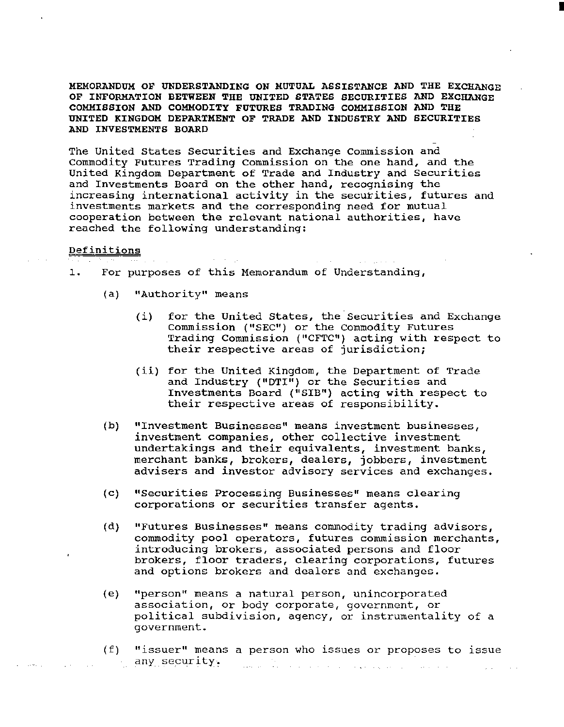MEMORANDUM OF UNDERSTANDING ON MUTUAL ASSISTANCE AND THE EXCHANGE OF INFORMATION BETWEEN THE UNITED STATES SECURITIES AND EXCHANGE COMMISSION AND COMMODITY FUTURES TRADING COMMISSION AND THE UNITED KINGDOM DEPARTMENT OF TRADE AND INDUSTRY AND SECURITIES AND INVESTMENTS BOARD

I

The United States Securities and Exchange Commission and Commodity Futures Trading Commission on the one hand, and the United Kingdom Department of Trade and Industry and Securities and Investments Board on the other hand, recognising the increasing international activity in the securities, futures and investments markets and the corresponding need for mutual cooperation between the relevant national authorities, have reached the following understanding:

## Definitions

1. For purposes of this Memorandum of Understanding,

- (a) "Authority" means
	- (i) for the United States, the Securities and Exchange Commission ("SEC") or the Commodity Futures Trading Commission ("CFTC") acting with respect to their respective areas of jurisdiction;
	- (ii) for the United Kingdom, the Department of Trade and Industry ("DTI") or the Securities and Investments Board ("SIB") acting with respect to their respective areas of responsibility.
- (b) "Investment Businesses" means investment businesses, investment companies, other collective investment undertakings and their equivalents, investment banks, merchant banks, brokers, dealers, jobbers, investment advisers and investor advisory services and exchanges.
- (c) "Securities Processing Businesses" means clearing corporations or securities transfer agents.
- (d) "Futures Businesses" means commodity trading advisors, commodity pool operators, futures commission merchants, introducing brokers, associated persons and floor brokers, floor traders, clearing corporations, futures and options brokers and dealers and exchanges.
- (e) "person" means a natural person, unincorporated association, or body corporate, government, or political subdivision, agency, or instrumentality of a government.
- (f) 11 issuer" means a person who issues or proposes to issue any security·. المستخدم المستخدم المستخدم المستخدم المستخدم المستخدم المستخدم المستخدم المستخدم المستخدم المستخدم المستخدم ال<br>والمستخدم المستخدم المستخدم المستخدم المستخدم المستخدم المستخدم المستخدم المستخدم المستخدم المستخدم المستخدم ا **Contract Contract**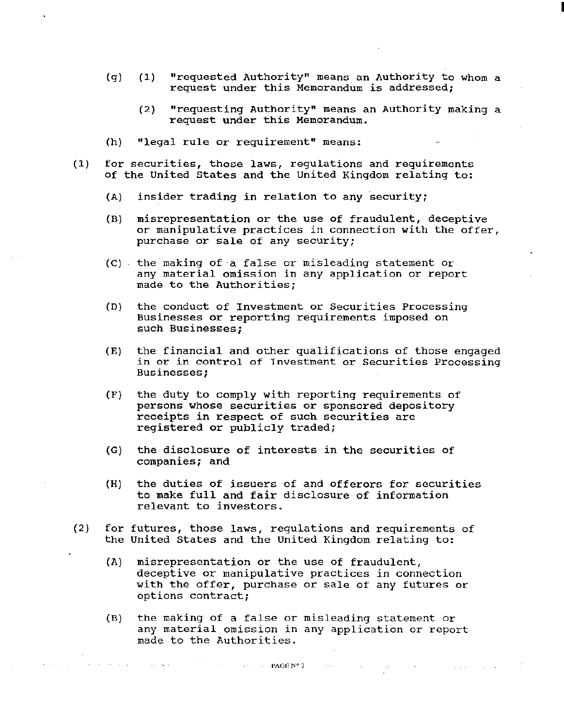- (g) (1) "requested Authority" means an Authority to whom a request under this Memorandum is addressed;
	- (2) "requesting Authority" means an Authority making a request under this Memorandum.

I

- (h) "legal rule or requirement" means:
- (1) for securities, those laws, regulations and requirements of the United States and the United Kingdom relating to:
	- (A) insider trading in relation to any security;
	- (B) misrepresentation or the use of fraudulent, deceptive or manipulative practices in connection with the offer, purchase or sale of any security;
	- (C) the making of a false or misleading statement or any material omission in any application or report made to the Authorities;
	- (D) the conduct of Investment or Securities Processing Businesses or reporting requirements imposed on such Businesses;
	- (E) the financial and other qualifications of those engaged in or in control of Tnvestment or Securities Processing Businesses;
	- (F) the duty to comply with reporting requirements of persons whose securities or sponsored depository receipts in respect of such securities are registered or publicly traded;
	- (G) the disclosure of interests in the securities of companies; and
	- (H) the duties of issuers of and offerors for securities to make full and fair disclosure of information relevant to investors.
- (2) for futures, those laws, regulations and requirements of the United States and the United Kingdom relating to:
	- (A) misrepresentation or the use of fraudulent, deceptive or manipulative practices in connection with the offer, purchase or sale of any futures or options contract;
	- (B) the making of a false or misleading statement or any material omission in any application or report made to the Authorities.

 $\sim$  , , ,

 $\sim 10^{11}$  km s  $^{-1}$ 

 $\sim 44$  and  $\sim$ 

 $\mathcal{O}(2\pi)$  , where  $\mathcal{O}(2\pi)$  is the contribution of  $\mathcal{O}(2\pi)$ 

 $-$ PAGE N° 2

 $\Delta\Delta\sim\Delta\sim\Delta\omega$ 

**Contractor**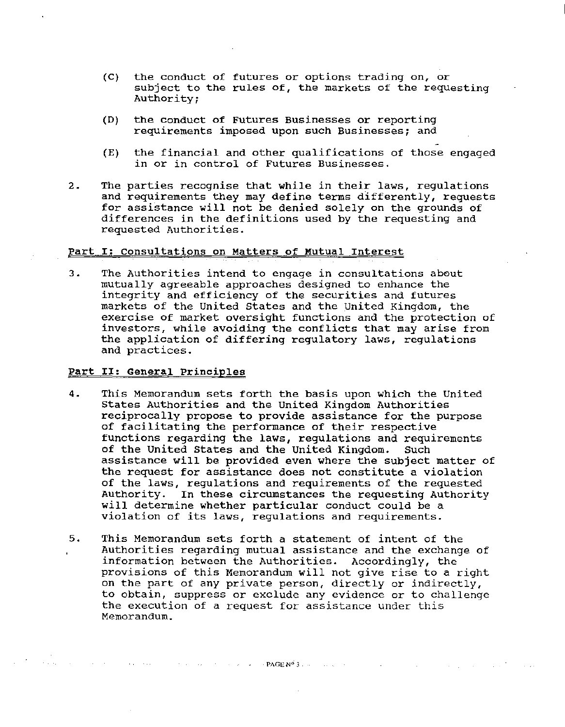- (C) the conduct of futures or options trading on, or subject to the rules of, the markets of the requesting Authority;
- (D) the conduct of Futures Businesses or reporting requirements imposed upon such Businesses; and
- (E) the financial and other qualifications of those engaged in or in control of Futures Businesses.
- 2. The parties recognise that while in their laws, regulations and requirements they may define terms differently, requests for assistance will not be denied solely on the grounds of differences in the definitions used by the requesting and requested Authorities.

## Part I: consultations on Matters of Mutual Interest

3. The Authorities intend to engage in consultations about mutually agreeable approaches designed to enhance the integrity and efficiency of the securities and futures markets of the United States and the United Kingdom, the exercise of market oversight functions and the protection of investors, while avoiding the conflicts that may arise from the application of differing regulatory laws, regulations and practices.

#### Part II: General Principles

**Contractor** 

- 4. This Memorandum sets forth the basis upon which the United States Authorities and the United Kingdom Authorities reciprocally propose to provide assistance for the purpose of facilitating the performance of their respective functions regarding the laws, regulations and requirements of the United States and the United Kingdom. Such assistance will be provided even where the subject matter of the request for assistance does not constitute a violation of the laws, regulations and requirements of the requested<br>Authority. In these circumstances the requesting Authority In these circumstances the requesting Authority will determine whether particular conduct could be a violation of its laws, regulations and requirements.
- 5. This Memorandum sets forth a statement of intent of the Authorities regarding mutual assistance and the exchange of information between the Authorities. Accordingly, the provisions of this Memorandum will not give rise to a right on the part of any private person, directly or indirectly, to obtain, suppress or exclude any evidence or to challenge the execution of a request for assistance under this Memorandum.

where the contract of the contract of  $\mathsf{PAGE}\,\mathsf{N}^{\mathsf{d}}(\mathsf{3})$  , we can contribute

الموارد المستقبل والمتناوب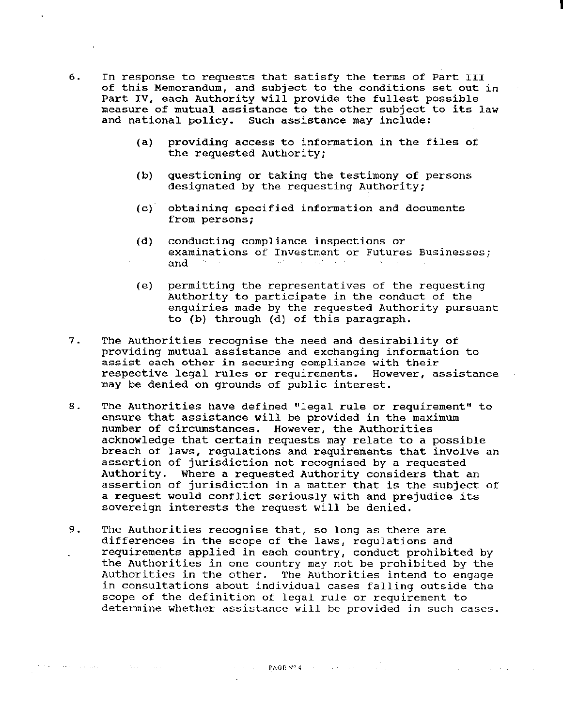- 6. In response to requests that satisfy the terms of Part III of this Memorandum, and subject to the conditions set out in Part IV, each Authority will provide the fullest possible measure of mutual assistance to the other subject to its law and national policy. such assistance may include:
	- (a) providing access to information in the files of the requested Authority;

I

- (b) questioning or taking the testimony of persons designated by the requesting Authority;
- (c) obtaining specified information and documents from persons;
- (d) conducting compliance inspections or examinations of Investment or Futures Businesses; and
- (e) permitting the representatives of the requesting Authority to participate in the conduct of the enquiries made by the requested Authority pursuant to (b) through (d) of this paragraph.
- 7. The Authorities recognise the need and desirability of providing mutual assistance and exchanging information to assist each other in securing compliance with their respective legal rules or requirements. However, assistance may be denied on grounds of public interest.
- 8. The Authorities have defined "legal rule or requirement" to ensure that assistance will be provided in the maximum number of circumstances. However, the Authorities acknowledge that certain requests may relate to a possible breach of laws, regulations and requirements that involve an assertion of jurisdiction not recognised by a requested Authority. Where a requested Authority considers that an assertion of jurisdiction in a matter that is the subject of a request would conflict seriously with and prejudice its sovereign interests the request will be denied.
- 9. The Authorities recognise that, so long as there are differences in the scope of the laws, regulations and requirements applied in each country, conduct prohibited by the Authorities in one country may not be prohibited by the Authorities in the other. The Authorities intend to engage in consultations about individual cases falling outside the scope of the definition of legal rule or requirement to determine whether assistance will be provided in such cases.

PAGE Nº 4 de la page de la page de la page de la page de la page de la page de la page de la page de la page de la page de la page de la page de la page de la page de la page de la page de la page de la page de la page de

 $\mathcal{L}(\mathcal{A})$  and  $\mathcal{L}(\mathcal{A})$  are  $\mathcal{L}(\mathcal{A})$  . In the  $\mathcal{L}(\mathcal{A})$ 

to the corresponding to the corresponding to the corresponding  $\mathcal{O}(\mathbb{R}^2)$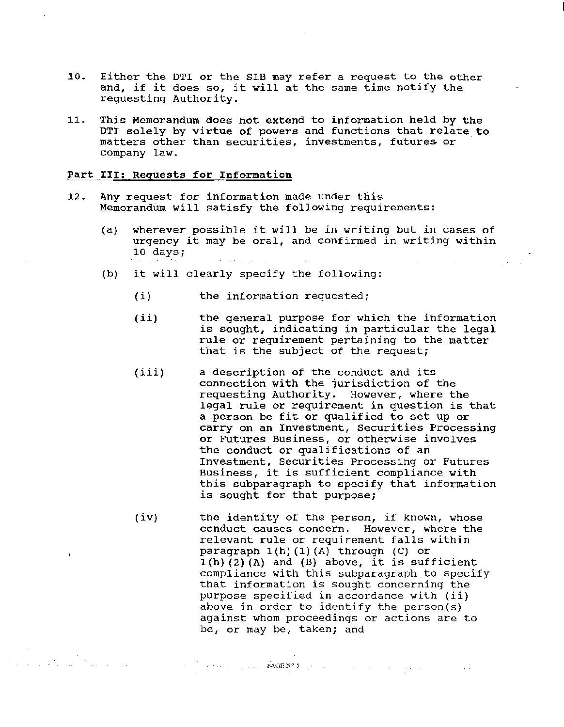- 10. Either the DTI or the SIB may refer a request to the other and, if it does so, it will at the same time notify the requesting Authority.
- 11. This Memorandum does not extend to information held by the DTI solely by virtue of powers and functions that relate to matters other than securities, investments, futures or company law.

#### Part III: Requests for Information

- 12. Any request for information made under this MemorandUm will satisfy the following requirements:
	- (a) wherever possible it will be in writing but in cases of urgency it may be oral, and confirmed in writing within 10 days; المتحدث والمتواطئ والمتحدث
	- (b) it will clearly specify the following:
		- $(i)$ the information requested;
		- $(iii)$ the general purpose for which the information is sought, indicating in particular the legal rule or requirement pertaining to the matter that is the subject of the request;
		- (iii) a description of the conduct and its connection with the jurisdiction of the requesting Authority. However, where the legal rule or requirement in question is that a person be fit or qualified to set up or carry on an Investment, Securities Processing or Futures Business, or otherwise involves the conduct or qualifications of an Investment, Securities Processing or Futures Business, it is sufficient compliance with this subparagraph to specify that information is sought for that purpose;
		- (iv) the identity of the person, if known, whose conduct causes concern. However, where the relevant rule or requirement falls within paragraph  $1(h)$   $(1)$   $(A)$  through  $(C)$  or  $1(h)$  (2) (A) and (B) above, it is sufficient compliance with this subparagraph to specify that information is sought concerning the purpose specified in accordance with (ii) above in order to identify the person(s) against whom proceedings or actions are to be, or may be, taken; and

 $\mathcal{L}^{\text{max}}$  is the contraction of  $\text{PAGE}(\mathbb{N}^{\text{op}}(\mathbb{S}))$  , and the contraction of the property  $\sim 10^{11}$  and  $\sim 10^{11}$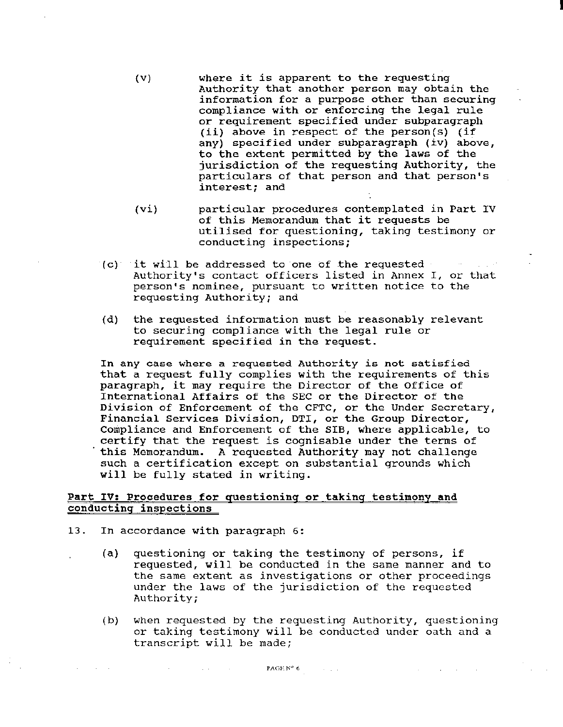(v) where it is apparent to the requesting Authority that another person may obtain the information for a purpose other than securing compliance with or enforcing the legal rule or requirement specified under subparagraph (ii) above in respect of the person(s) (if any) specified under subparagraph (iv) above, to the extent permitted by the laws of the jurisdiction of the requesting Authority, the particulars of that person and that person's interest; and

I

- (vi) particular procedures contemplated in Part IV of this Memorandum that it requests be utilised for questioning, taking testimony or conducting inspections;
- $(c)$  it will be addressed to one of the requested Authority's contact officers listed in Annex I, or that person's nominee, pursuant to written notice to the requesting Authority; and
- (d) the requested information must be reasonably relevant to securing compliance with the legal rule or requirement specified in the request.

In any case where a requested Authority is not satisfied that a request fully complies with the requirements of this paragraph, it may require the Director of the Office of International Affairs of the SEC or the Director of the Division of Enforcement of the CFTC, or the Under Secretary, Financial Services Division, DTI, or the Group Director, Compliance and Enforcement of the SIB, where applicable, to certify that the request is cognisable under the terms of this Memorandum. A requested Authority may not challenge such a certification except on substantial grounds which will be fully stated in writing.

### Part IV: Procedures for questioning or taking testimony and conducting inspections

13. In accordance with paragraph 6:

 $\mathcal{O}(\mathcal{A}^{\mathcal{A}})$  , where  $\mathcal{O}(\mathcal{A}^{\mathcal{A}})$  and  $\mathcal{O}(\mathcal{A}^{\mathcal{A}})$ 

- (a) questioning or taking the testimony of persons, if requested, will be conducted in the same manner and to the same extent as investigations or other proceedings under the laws of the jurisdiction of the requested Authority;
- (b) when requested by the requesting Authority, questioning or taking testimony will be conducted under oath and a transcript will be made;

and a strategic

**PAGE N° 6**  $\begin{bmatrix} 1 & 1 & 1 \\ 1 & 1 & 1 \end{bmatrix}$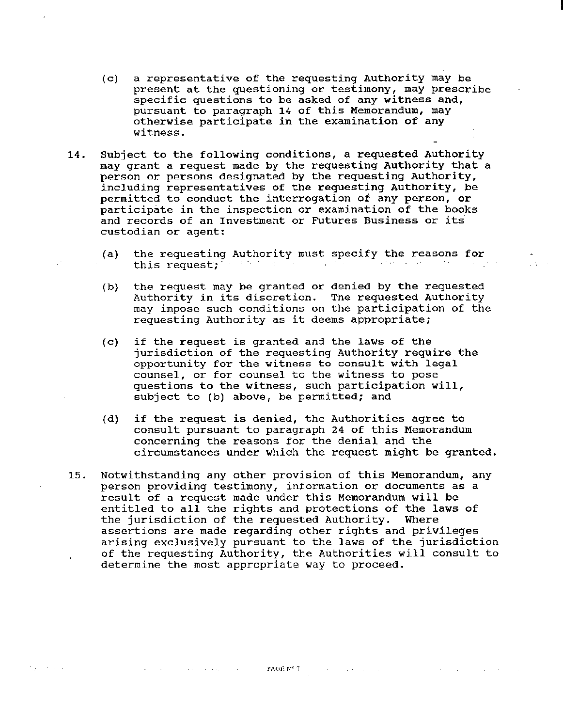- (c) a representative of the requesting Authority may be present at the questioning or testimony, may prescribe specific questions to be asked of any witness and, pursuant to paragraph 14 of this Memorandum, may otherwise participate in the examination of any witness.
- 14. Subject to the following conditions, a requested Authority may grant a request made by the requesting Authority that a person or persons designated by the requesting Authority, including representatives of the requesting Authority, be permitted to conduct the interrogation of any person, or participate in the inspection or examination of the books and records of an Investment or Futures Business or its custodian or agent:
	- (a) the requesting Authority must specify the reasons for this request;
	- (b) the request may be granted or denied by the requested Authority in its discretion. The requested Authority may impose such conditions on the participation of the requesting Authority as it deems appropriate;
	- (c) if the request is granted and the laws of the jurisdiction of the requesting Authority require the opportunity for the witness to consult with legal counsel, or for counsel to the witness to pose questions to the witness, such participation **will,**  subject to (b) above, be permitted; and
	- (d) if the request is denied, the Authorities agree to consult pursuant to paragraph 24 of this Memorandum concerning the reasons for the denial and the circumstances under which the request might be granted.
- 15. Notwithstanding any other provision of this Memorandum, any person providing testimony, information or documents as a result of a request made under this Memorandum will be entitled to all the rights and protections of the laws of<br>the jurisdiction of the requested Authority. Where the jurisdiction of the requested Authority. assertions are made regarding other rights and privileges arising exclusively pursuant to the laws of the jurisdiction of the requesting Authority, the Authorities will consult to determine the most appropriate way to proceed.

PAGE N° 7

 $\mathcal{O}(\mathcal{A})$  and  $\mathcal{O}(\mathcal{A})$  and  $\mathcal{O}(\mathcal{A})$  and  $\mathcal{O}(\mathcal{A})$ 

**Police Andrew**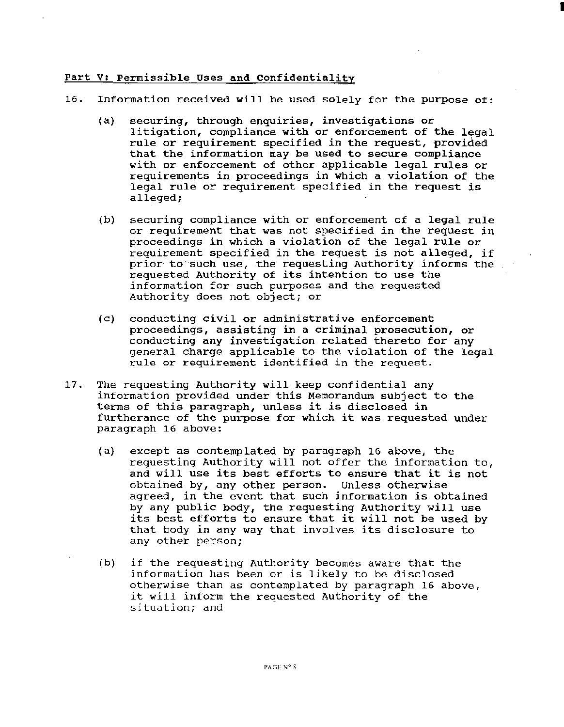## Part V: Permissible Uses and Confidentiality

- 16. Information received will be used solely for the purpose of:
	- (a) securing, through enquiries, investigations or litigation, compliance with or enforcement of the legal rule or requirement specified in the request, provided that the information may be used to secure compliance with or enforcement of other applicable legal rules or requirements in proceedings in which a violation of the legal rule or requirement specified in the request is alleged;

I

- (b) securing compliance with or enforcement of a legal rule or requirement that was not specified in the request in proceedings in which a violation of the legal rule or requirement specified in the request is not alleged, if prior- to such use, the requesting Authority informs the requested Authority of its intention to use the information for such purposes and the requested Authority does not object; or
- (c) conducting civil or administrative enforcement proceedings, assisting in a criminal prosecution, or conducting any investigation related thereto for any general charge applicable to the violation of the legal rule or requirement identified in the request.
- 17. The requesting Authority will keep confidential any information provided under this Memorandum subject to the terms of this paragraph, unless it is disclosed in furtherance of the purpose for which it was requested under paragraph 16 above:
	- (a) except as contemplated by paragraph 16 above, the requesting Authority will not offer the information to, and will use its best efforts to ensure that it is not obtained by, any other person. Unless otherwise agreed, in the event that such information is obtained by any public body, the requesting Authority will use its best efforts to ensure that it will not be used by that body in any way that involves its disclosure to any other person;
	- (b) if the requesting Authority becomes aware that the information has been or is likely to be disclosed otherwise than as contemplated by paragraph 16 above, it will inform the requested Authority of the situation; and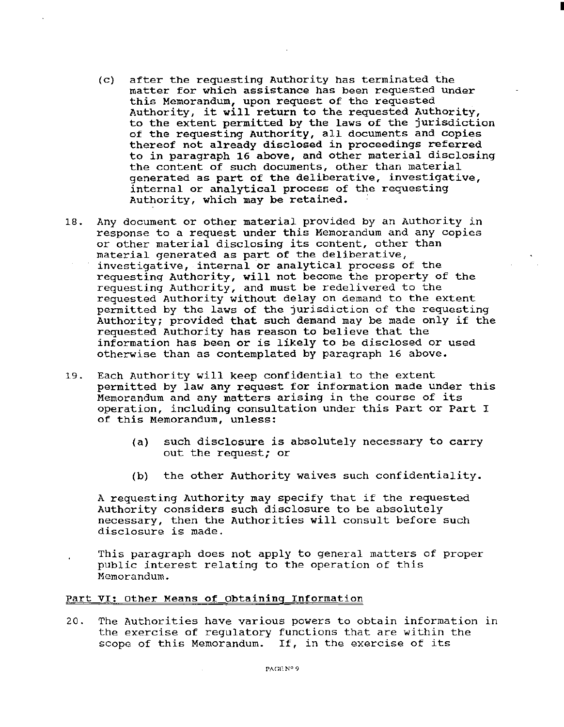(c) after the requesting Authority has terminated the matter for which assistance has been requested under this Memorandum, upon request of the requested Authority, it will return to the requested Authority, to the extent permitted by the laws of the jurisdiction of the requesting Authority, all documents and copies thereof not already disclosed in proceedings referred to in paragraph 16 above, and other material disclosing the content of such documents, other than material generated as part of the deliberative, investigative, internal or analytical process of the requesting Authority, which may be retained.

I

- 18. Any document or other material provided by an Authority in response to a request under this Memorandum and any copies or other material disclosing its content, other than material generated as part of the deliberative, investigative, internal or analytical process of the requesting Authority, will not become the property of the requesting Authority, and must be redelivered to the requested Authority without delay on demand to the extent permitted by the laws of the jurisdiction of the requesting Authority; provided that such demand may be made only if the requested Authority has reason to believe that the information has been or is likely to be disclosed or used otherwise than as contemplated by paragraph 16 above.
- 19. Each Authority will keep confidential to the extent permitted by law any request for information made under this Memorandum and any matters arising in the course of its operation, including consultation under this Part or Part I of this Memorandum, unless:
	- (a) such disclosure is absolutely necessary to carry out the request; or
	- (b) the other Authority waives such confidentiality.

A requesting Authority may specify that if the requested Authority considers such disclosure to be absolutely necessary, then the Authorities will consult before such disclosure is made.

This paragraph does not apply to general matters of proper public interest relating to the operation of this Memorandum.

## Part VI: Other Means of Obtaining Information

20. The Authorities have various powers to obtain information in the exercise of regulatory functions that are within the scope of this Memorandum. If, in the exercise of its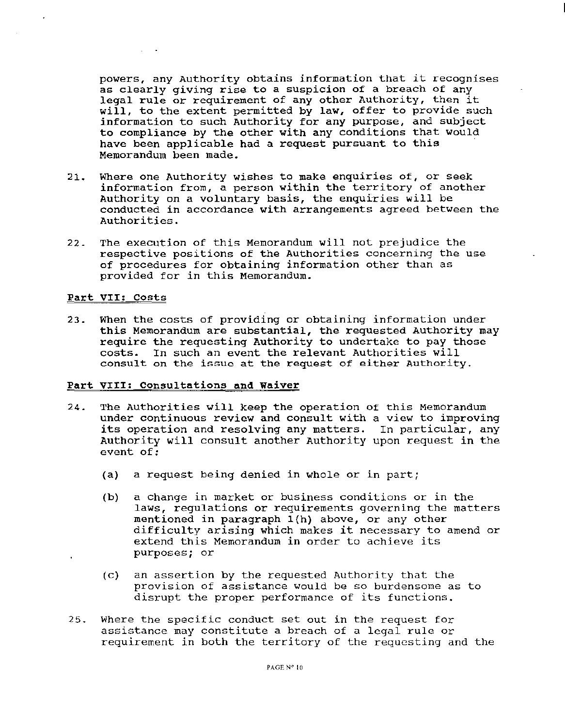powers, any Authority obtains information that it recognises as clearly giving rise to a suspicion of a breach of any legal rule or requirement of any other Authority, then it will, to the extent permitted by law, offer to provide such information to such Authority for any purpose, and subject to compliance by the other with any conditions that would have been applicable had a request pursuant to this Memorandum been made.

- 21. Where one Authority wishes to make enquiries of, or seek information from, a person within the territory of another Authority on a voluntary basis, the enquiries will be conducted in accordance with arrangements agreed between the Authorities.
- 22. The execution of this Memorandum will not prejudice the respective positions of the Authorities concerning the use of procedures for obtaining information other than as provided for in this Memorandum.

#### Part VII: Costs

23. When the costs of providing or obtaining information under this Memorandum are substantial, the requested Authority may require the requesting Authority to undertake to pay those costs. In such an event the relevant Authorities will consult on the issue at the request of either Authority.

#### Part VIII: Consultations and Waiver

- 24. The Authorities will keep the operation of this Memorandum under continuous review and consult with a view to improving its operation and resolving any matters. In particular, any Authority will consult another Authority upon request in the event of:
	- (a) a request being denied in whole or in part;
	- (b) a change in market or business conditions or in the laws, regulations or requirements governing the matters mentioned in paragraph l(h) above, or any other difficulty arising which makes it necessary to amend or extend this Memorandum in order to achieve its purposes; or
	- (c) an assertion by the requested Authority that the provision of assistance would be so burdensome as to disrupt the proper performance of its functions.
- 25. Where the specific conduct set out in the request for assistance may constitute a breach of a legal rule or requirement in both the territory of the requesting and the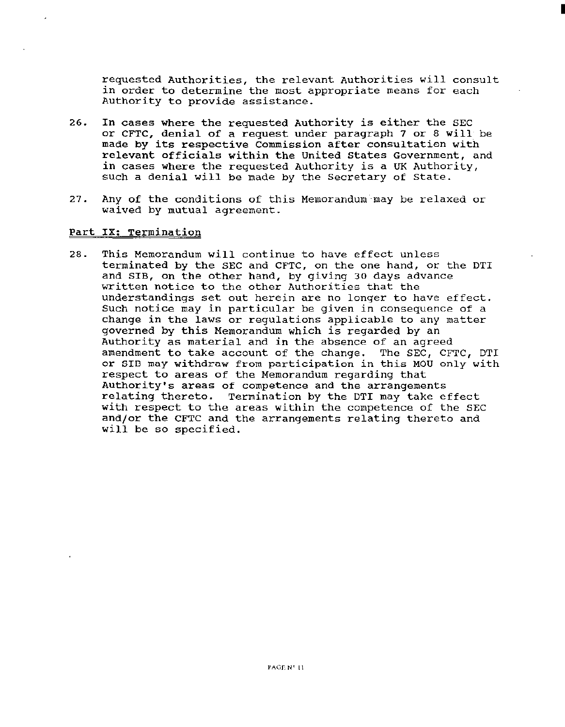requested Authorities, the relevant Authorities will consult in order to determine the most appropriate means for each Authority to provide assistance.

I

- 26. In cases where the requested Authority is either the SEC or CFTC, denial of a request under paragraph 7 or 8 will be made by its respective Commission after consultatien with relevant officials within the United States Government, and in cases where the requested Authority is a UK Authority, such a denial will be made by the Secretary of State.
- 27. Any of the conditions of this Memorandum may be relaxed or waived by mutual agreement.

#### Part IX: Termination

28. This Memorandum will continue to have effect unless terminated by the SEC and CFTC, on the one hand, or the DTI and SIB, on the other hand, by giving 30 days advance written notice to the other Authorities that the understandings set out herein are no longer to have effect. Such notice may in particular be given in consequence of a change in the laws or regulations applicable to any matter governed by this Memorandum which is regarded by an Authority as material and in the absence of an agreed<br>amendment to take account of the change. The SEC, CFTC, DTI amendment to take account of the change. or SID may withdraw from participation in this MOU only with respect to areas of the Memorandum regarding that Authority's areas of competence and the arrangements relating thereto. Termination by the DTI may take effect with respect to the areas within the competence of the SEC and/or the CFTC and the arrangements relating thereto and will be so specified.